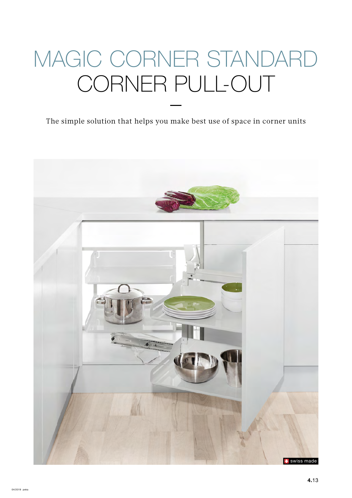# MAGIC CORNER STANDARD CORNER PULL-OUT

The simple solution that helps you make best use of space in corner units

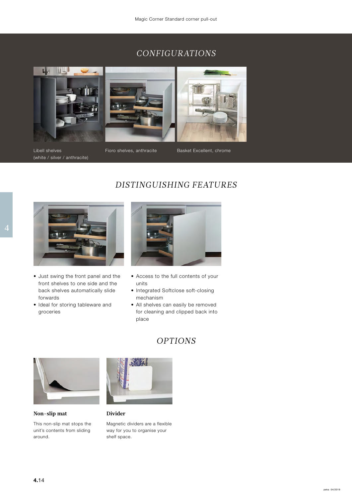# *CONFIGURATIONS*



Libell shelves (white / silver / anthracite)

Fioro shelves, anthracite Basket Excellent, chrome



- Just swing the front panel and the front shelves to one side and the back shelves automatically slide forwards
- Ideal for storing tableware and groceries



*DISTINGUISHING FEATURES*

- Access to the full contents of your units
- Integrated Softclose soft-closing mechanism
- All shelves can easily be removed for cleaning and clipped back into place

# *OPTIONS*



**Non-slip mat**

This non-slip mat stops the unit's contents from sliding around.



#### **Divider**

Magnetic dividers are a flexible way for you to organise your shelf space.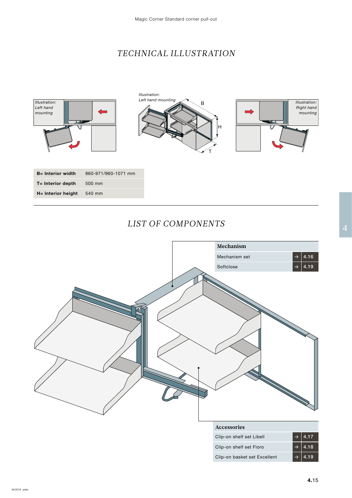# *TECHNICAL ILLUSTRATION*



## *LIST OF COMPONENTS*

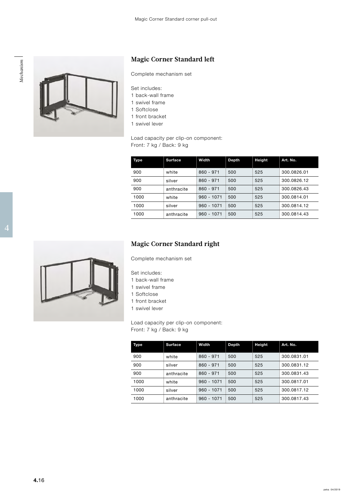

## **Magic Corner Standard left**

- 1 back-wall frame
- 1 swivel frame
- 1 Softclose
- 1 front bracket
- 1 swivel lever

| Complete mechanism set<br>Set includes:<br>1 back-wall frame<br>1 swivel frame<br>1 Softclose<br>1 front bracket<br>1 swivel lever<br>Load capacity per clip-on component:<br>Front: 7 kg / Back: 9 kg<br>Surface<br>Height<br>Width<br><b>Depth</b><br>Art. No.<br>Type<br>$860 - 971$ 500<br>900<br>525<br>300.0826.01<br>white<br>$860 - 971$ 500<br>900<br>525<br>300.0826.12<br>silver<br>$860 - 971$ 500<br>900<br>300.0826.43<br>525<br>anthracite<br>1000<br>$960 - 1071$ 500<br>525<br>300.0814.01<br>white<br>1000<br>$960 - 1071$ 500<br>525<br>300.0814.12<br>silver<br>1000<br>$960 - 1071$ 500<br>525<br>300.0814.43<br>anthracite |  | magic corner bianuaru icit |  |  |  |  |  |
|--------------------------------------------------------------------------------------------------------------------------------------------------------------------------------------------------------------------------------------------------------------------------------------------------------------------------------------------------------------------------------------------------------------------------------------------------------------------------------------------------------------------------------------------------------------------------------------------------------------------------------------------------|--|----------------------------|--|--|--|--|--|
|                                                                                                                                                                                                                                                                                                                                                                                                                                                                                                                                                                                                                                                  |  |                            |  |  |  |  |  |
|                                                                                                                                                                                                                                                                                                                                                                                                                                                                                                                                                                                                                                                  |  |                            |  |  |  |  |  |
|                                                                                                                                                                                                                                                                                                                                                                                                                                                                                                                                                                                                                                                  |  |                            |  |  |  |  |  |
|                                                                                                                                                                                                                                                                                                                                                                                                                                                                                                                                                                                                                                                  |  |                            |  |  |  |  |  |
|                                                                                                                                                                                                                                                                                                                                                                                                                                                                                                                                                                                                                                                  |  |                            |  |  |  |  |  |
|                                                                                                                                                                                                                                                                                                                                                                                                                                                                                                                                                                                                                                                  |  |                            |  |  |  |  |  |
|                                                                                                                                                                                                                                                                                                                                                                                                                                                                                                                                                                                                                                                  |  |                            |  |  |  |  |  |
|                                                                                                                                                                                                                                                                                                                                                                                                                                                                                                                                                                                                                                                  |  |                            |  |  |  |  |  |
|                                                                                                                                                                                                                                                                                                                                                                                                                                                                                                                                                                                                                                                  |  |                            |  |  |  |  |  |
|                                                                                                                                                                                                                                                                                                                                                                                                                                                                                                                                                                                                                                                  |  |                            |  |  |  |  |  |

## **Magic Corner Standard right**

Complete mechanism set

Set includes:

- 1 back-wall frame
- 1 swivel frame
- 1 Softclose
- 1 front bracket
- 1 swivel lever

Load capacity per clip-on component: Front: 7 kg / Back: 9 kg

| Type | <b>Surface</b> | Width        | Depth | Height | Art. No.    |
|------|----------------|--------------|-------|--------|-------------|
| 900  | white          | $860 - 971$  | 500   | 525    | 300.0831.01 |
| 900  | silver         | $860 - 971$  | 500   | 525    | 300.0831.12 |
| 900  | anthracite     | $860 - 971$  | 500   | 525    | 300.0831.43 |
| 1000 | white          | $960 - 1071$ | 500   | 525    | 300.0817.01 |
| 1000 | silver         | $960 - 1071$ | 500   | 525    | 300.0817.12 |
| 1000 | anthracite     | $960 - 1071$ | 500   | 525    | 300.0817.43 |

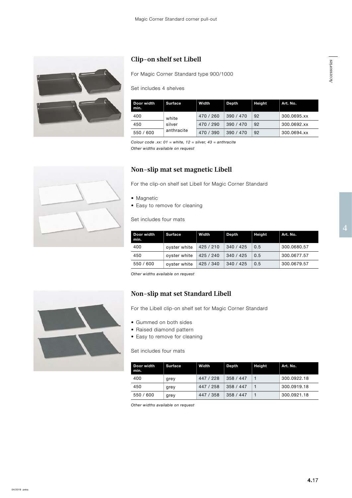

## **Clip-on shelf set Libell**

For Magic Corner Standard type 900/1000

#### Set includes 4 shelves

| Door width<br>min. | <b>Surface</b>                | Width     | Depth   | <b>Height</b> | Art. No.    |  |  |  |
|--------------------|-------------------------------|-----------|---------|---------------|-------------|--|--|--|
| 400                | white<br>silver<br>anthracite | 470 / 260 | 390/470 | 92            | 300.0695.xx |  |  |  |
| 450                |                               | 470 / 290 | 390/470 | 92            | 300.0692.xx |  |  |  |
| 550 / 600          |                               | 470 / 390 | 390/470 | 92            | 300.0694.xx |  |  |  |

*Colour code .xx: 01 = white, 12 = silver, 43 = anthracite*

*Other widths available on request*

## **Non-slip mat set magnetic Libell**

For the clip-on shelf set Libell for Magic Corner Standard

- Magnetic
- Easy to remove for cleaning

Set includes four mats

| Door width<br>min. | <b>Surface</b> | Width     | <b>Depth</b> | <b>Height</b> | Art. No.    |
|--------------------|----------------|-----------|--------------|---------------|-------------|
| 400                | oyster white   | 425 / 210 | 340/425      | 0.5           | 300.0680.57 |
| 450                | oyster white   | 425 / 240 | 340 / 425    | 0.5           | 300.0677.57 |
| 550 / 600          | oyster white   | 425 / 340 | 340 / 425    | 0.5           | 300.0679.57 |

*Other widths available on request*

## **Non-slip mat set Standard Libell**

For the Libell clip-on shelf set for Magic Corner Standard

- Gummed on both sides
- Raised diamond pattern
- Easy to remove for cleaning

Set includes four mats

| l Door width<br>min. | <b>Surface</b> | Width     | <b>Depth</b> | <b>Height</b> | Art. No.    |
|----------------------|----------------|-----------|--------------|---------------|-------------|
| 400                  | grey           | 447 / 228 | 358 / 447    |               | 300.0922.18 |
| 450                  | grey           | 447 / 258 | 358 / 447    |               | 300.0919.18 |
| 550 / 600            | grey           | 447 / 358 | 358 / 447    |               | 300.0921.18 |

*Other widths available on request*

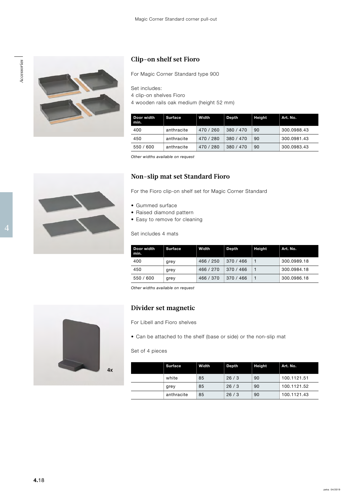



## **Clip-on shelf set Fioro**

|  |                         |                                          | <b>CHP-OIL SHULL SUL FRIUD</b>                            |       |                          |        |             |  |  |  |  |  |
|--|-------------------------|------------------------------------------|-----------------------------------------------------------|-------|--------------------------|--------|-------------|--|--|--|--|--|
|  |                         |                                          | For Magic Corner Standard type 900                        |       |                          |        |             |  |  |  |  |  |
|  |                         | Set includes:                            |                                                           |       |                          |        |             |  |  |  |  |  |
|  | 4 clip-on shelves Fioro | 4 wooden rails oak medium (height 52 mm) |                                                           |       |                          |        |             |  |  |  |  |  |
|  |                         | Door width<br>min.                       | Surface                                                   | Width | Depth                    | Height | Art. No.    |  |  |  |  |  |
|  |                         | 400                                      | anthracite                                                |       | 470 / 260 380 / 470 90   |        | 300.0988.43 |  |  |  |  |  |
|  |                         | 450                                      | anthracite                                                |       | 470 / 280 380 / 470 90   |        | 300.0981.43 |  |  |  |  |  |
|  |                         | 550 / 600                                | anthracite                                                |       | $470 / 280$ 380 / 470 90 |        | 300.0983.43 |  |  |  |  |  |
|  |                         |                                          | Other widths available on request                         |       |                          |        |             |  |  |  |  |  |
|  |                         |                                          | Non-slip mat set Standard Fioro                           |       |                          |        |             |  |  |  |  |  |
|  |                         |                                          | For the Fioro clip-on shelf set for Magic Corner Standard |       |                          |        |             |  |  |  |  |  |
|  |                         | • Gummed surface                         |                                                           |       |                          |        |             |  |  |  |  |  |
|  |                         |                                          | • Raised diamond pattern                                  |       |                          |        |             |  |  |  |  |  |
|  |                         |                                          | • Easy to remove for cleaning                             |       |                          |        |             |  |  |  |  |  |
|  |                         |                                          |                                                           |       |                          |        |             |  |  |  |  |  |

### **Non-slip mat set Standard Fioro**

- Gummed surface
- Raised diamond pattern
- Easy to remove for cleaning

Set includes 4 mats

| Door width<br>min. | <b>Surface</b> | Width     | <b>Depth</b> | Height | Art. No.    |
|--------------------|----------------|-----------|--------------|--------|-------------|
| 400                | grey           | 466 / 250 | 370 / 466    |        | 300.0989.18 |
| 450                | grey           | 466 / 270 | 370 / 466    |        | 300.0984.18 |
| 550 / 600          | grey           | 466 / 370 | 370 / 466    |        | 300.0986.18 |

*Other widths available on request*

## **Divider set magnetic**

For Libell and Fioro shelves

• Can be attached to the shelf (base or side) or the non-slip mat

#### Set of 4 pieces

 $4x$ 

| <b>Surface</b> | Width | Depth | <b>Height</b> | Art. No.    |
|----------------|-------|-------|---------------|-------------|
| white          | 85    | 26/3  | 90            | 100.1121.51 |
| grey           | 85    | 26/3  | 90            | 100.1121.52 |
| anthracite     | 85    | 26/3  | 90            | 100.1121.43 |